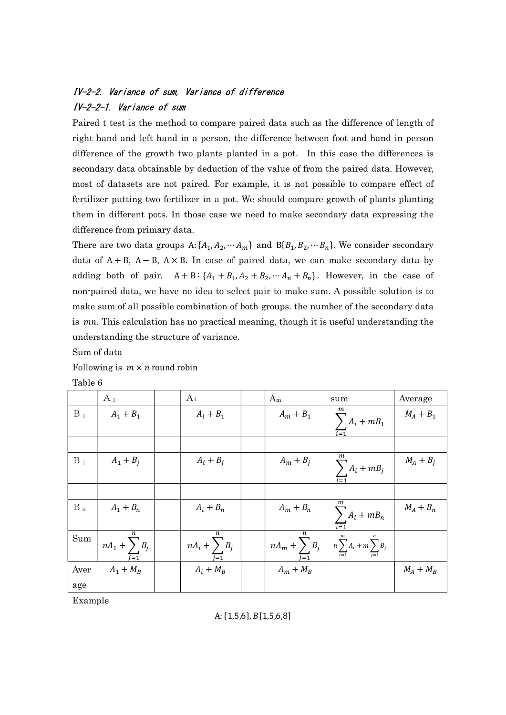# IV-2-2. Variance of sum, Variance of difference IV-2-2-1. Variance of sum

Paired t test is the method to compare paired data such as the difference of length of right hand and left hand in a person, the difference between foot and hand in person difference of the growth two plants planted in a pot. In this case the differences is secondary data obtainable by deduction of the value of from the paired data. However, most of datasets are not paired. For example, it is not possible to compare effect of fertilizer putting two fertilizer in a pot. We should compare growth of plants planting them in different pots. In those case we need to make secondary data expressing the difference from primary data.

There are two data groups  $A: \{A_1, A_2, \cdots A_m\}$  and  $B\{B_1, B_2, \cdots B_n\}$ . We consider secondary data of  $A + B$ ,  $A - B$ ,  $A \times B$ . In case of paired data, we can make secondary data by adding both of pair.  $A + B$ :  $\{A_1 + B_1, A_2 + B_2, \dots, A_n + B_n\}$ . However, in the case of non-paired data, we have no idea to select pair to make sum. A possible solution is to make sum of all possible combination of both groups. the number of the secondary data is  $mn$ . This calculation has no practical meaning, though it is useful understanding the understanding the structure of variance.

Sum of data

Following is  $m \times n$  round robin

Table 6

|       | $A_1$                                  | Ai                | $A_m$                   | sum                                     | Average     |
|-------|----------------------------------------|-------------------|-------------------------|-----------------------------------------|-------------|
| $B_1$ | $A_1 + B_1$                            | $A_i + B_1$       | $A_m + B_1$             | m<br>$\sum_{i=1} A_i + m B_1$           | $M_A + B_1$ |
|       |                                        |                   |                         |                                         |             |
| $B_i$ | $A_1 + B_i$                            | $A_i + B_j$       | $A_m + B_j$             | $\sum_{i=1} A_i + m B_j$                | $M_A + B_i$ |
|       |                                        |                   |                         |                                         |             |
| $B_n$ | $A_1 + B_n$                            | $A_i + B_n$       | $A_m + B_n$             | $\sum_{i=1} A_i + mB_n$                 | $M_A + B_n$ |
| Sum   | $\frac{1}{1}nA_1 + \sum_{i=1}^{n} B_i$ | $nA_i + \sum B_j$ | $nA_m + \sum_{i=1} B_i$ | $n\sum_{i=1}^{m}A_i+m\sum_{j=1}^{n}B_j$ |             |
| Aver  | $A_1 + M_B$                            | $A_i + M_B$       | $A_m + M_B$             |                                         | $M_A + M_B$ |
| age   |                                        |                   |                         |                                         |             |

Example

## A:  $\{1,5,6\}$ ,  $B\{1,5,6,8\}$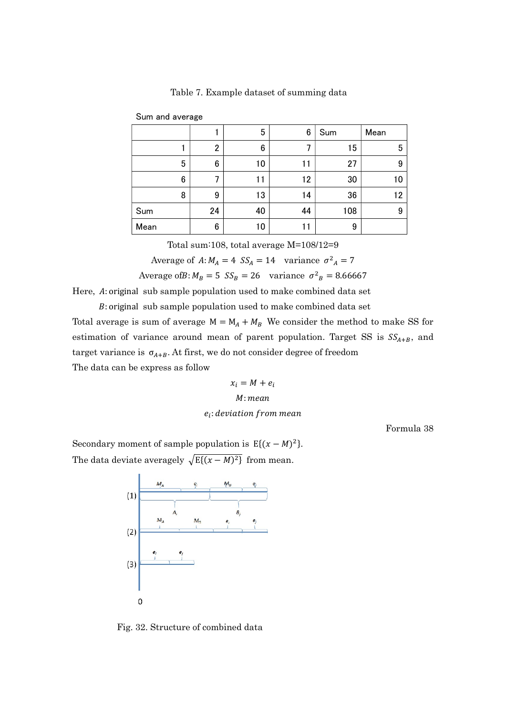|      |                |                | 5  | 6  | Sum | Mean |
|------|----------------|----------------|----|----|-----|------|
|      |                | $\overline{2}$ | 6  |    | 15  | 5    |
|      | 5              | 6              | 10 | 11 | 27  | 9    |
|      | $6\phantom{1}$ | 7              | 11 | 12 | 30  | 10   |
|      | 8              | 9              | 13 | 14 | 36  | 12   |
| Sum  |                | 24             | 40 | 44 | 108 | 9    |
| Mean |                | 6              | 10 | 11 | 9   |      |

Table 7. Example dataset of summing data

Total sum:108, total average M=108/12=9

Average of  $A: M_A = 4$   $SS_A = 14$  variance  $\sigma^2{}_A = 7$ 

Average of B:  $M_B = 5$   $SS_B = 26$  variance  $\sigma^2{}_B = 8.66667$ 

Here, A: original sub sample population used to make combined data set

: original sub sample population used to make combined data set

Total average is sum of average  $M = M_A + M_B$  We consider the method to make SS for estimation of variance around mean of parent population. Target SS is  $SS_{A+B}$ , and target variance is  $\sigma_{A+B}$ . At first, we do not consider degree of freedom The data can be express as follow

$$
x_i = M + e_i
$$
  
*M*: mean

### e<sub>i</sub>: deviation from mean

Formula 38

Secondary moment of sample population is  $E\{(x - M)^2\}$ . The data deviate averagely  $\sqrt{E\{(x-M)^2\}}$  from mean.

Sum and average



Fig. 32. Structure of combined data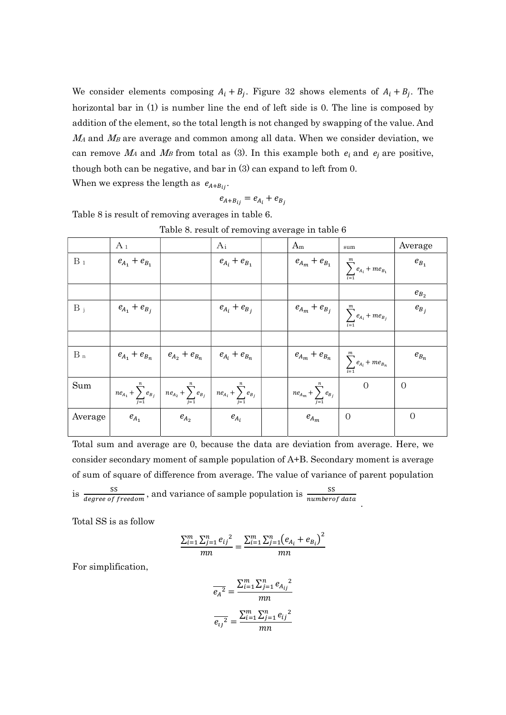We consider elements composing  $A_i + B_j$ . Figure 32 shows elements of  $A_i + B_j$ . The horizontal bar in (1) is number line the end of left side is 0. The line is composed by addition of the element, so the total length is not changed by swapping of the value. And  $M_A$  and  $M_B$  are average and common among all data. When we consider deviation, we can remove  $M_A$  and  $M_B$  from total as (3). In this example both  $e_i$  and  $e_j$  are positive, though both can be negative, and bar in (3) can expand to left from 0. When we express the length as  $e_{A+B_{ii}}$ .

$$
e_{A+B_{ij}} = e_{A_i} + e_{B_j}
$$

Table 8 is result of removing averages in table 6.

 $A_1$   $A_i$   $A_m$   $\underset{\text{sum}}$   $A_{v}$  $B_1$   $e_{A_1} + e_{B_1}$  $e_{A_i} + e_{B_1}$  $\boldsymbol{e}_{\boldsymbol{A}_m} + \boldsymbol{e}_{\boldsymbol{B}_1}$  $\boldsymbol{m}$  $\sum_{i=1} e_{A_i} + m e_{B_1}$  $e_{B_1}$ and the contract of the contract of  $e_{B_2}$  $B_j$   $e_{A_1} + e_{B_j}$  $e_{A_i} + e_{B_i}$  $e_{\mathfrak{A}_m}+e_{\mathfrak{B}_j}$  $\,m$  $\sum_{i=1} e_{A_i} + m e_{B_j}$  $e_{B_i}$  $B_n$   $e_{A_1} + e_{B_n}$  $e_{A_2} + e_{B_n}$  $e_{A_i}+e_{B_n}$  $\boldsymbol{e}_{\boldsymbol{A}_m}+\boldsymbol{e}_{\boldsymbol{B}_n}$  $\boldsymbol{m}$  $\sum_{i=1} e_{A_i} + me_{B_n}$  $\boldsymbol{e}_{B_n}$ Sum  $n e_{A_1} + \sum e_{B_j}$ n  $\sum_{j=1} e_{B_j}$   $ne_{A_2} + \sum_{j=1} e_{B_j}$  $\boldsymbol{n}$  $\sum_{j=1} e_{B_j}$   $ne_{A_i} + \sum_{j=1} e_{B_j}$  $\boldsymbol{n}$  $j=1$  $n e_{A_m} + \sum e_{B_j}$  $\boldsymbol{n}$  $j=1$  $0 \mid 0$ Average  $e_{A_1}$  $e_{A_2}$  $e_{A_i}$  $e_{A_m}$  0 0

Table 8. result of removing average in table 6

Total sum and average are 0, because the data are deviation from average. Here, we consider secondary moment of sample population of A+B. Secondary moment is average of sum of square of difference from average. The value of variance of parent population is  $\frac{SS}{degree of freedom}$ , and variance of sample population is  $\frac{SS}{number of data}$ .

Total SS is as follow

$$
\frac{\sum_{i=1}^{m} \sum_{j=1}^{n} e_{ij}^{2}}{mn} = \frac{\sum_{i=1}^{m} \sum_{j=1}^{n} (e_{A_i} + e_{B_i})^2}{mn}
$$

For simplification,

$$
\overline{e_A}^2 = \frac{\sum_{i=1}^{m} \sum_{j=1}^{n} e_{A_{ij}}^2}{mn}
$$

$$
\overline{e_{ij}^2} = \frac{\sum_{i=1}^{m} \sum_{j=1}^{n} e_{ij}^2}{mn}
$$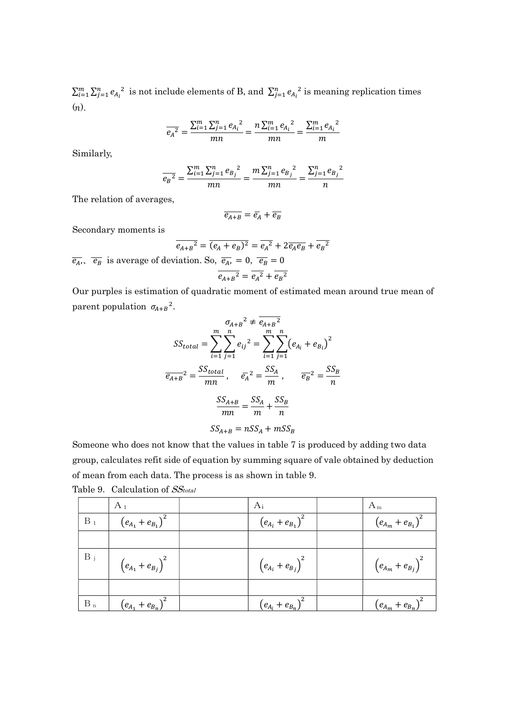$\sum_{i=1}^{m} \sum_{j=1}^{n} e_{A_i}^2$  is not include elements of B, and  $\sum_{j=1}^{n} e_{A_i}^2$  is meaning replication times  $(n).$ 

$$
\overline{e_A}^2 = \frac{\sum_{i=1}^{m} \sum_{j=1}^{n} e_{A_i}^2}{mn} = \frac{n \sum_{i=1}^{m} e_{A_i}^2}{mn} = \frac{\sum_{i=1}^{m} e_{A_i}^2}{m}
$$

Similarly,

$$
\overline{e_B}^2 = \frac{\sum_{i=1}^{m} \sum_{j=1}^{n} e_{B_j}^2}{mn} = \frac{m \sum_{j=1}^{n} e_{B_j}^2}{mn} = \frac{\sum_{j=1}^{n} e_{B_j}^2}{n}
$$

The relation of averages,

$$
\overline{e_{A+B}} = \overline{e_A} + \overline{e_B}
$$

Secondary moments is

$$
\overline{e_{A+B}^2} = \overline{(e_A + e_B)^2} = \overline{e_A^2} + 2\overline{e_A e_B} + \overline{e_B^2}
$$
  

$$
\overline{e_A}
$$
,  $\overline{e_B}$  is average of deviation. So,  $\overline{e_A}$  = 0,  $\overline{e_B}$  = 0

$$
\overline{e_{A+B}^2} = \overline{e_A^2} + \overline{e_B^2}
$$

Our purples is estimation of quadratic moment of estimated mean around true mean of parent population  $\sigma_{A+B}^2$ .

$$
S_{total} = \sum_{i=1}^{m} \sum_{j=1}^{n} e_{ij}^{2} = \sum_{i=1}^{m} \sum_{j=1}^{n} (e_{A_{i}} + e_{B_{i}})^{2}
$$

$$
\overline{e_{A+B}}^{2} = \frac{SS_{total}}{mn}, \quad \overline{e_{A}}^{2} = \frac{SS_{A}}{m}, \quad \overline{e_{B}}^{2} = \frac{SS_{B}}{n}
$$

$$
\frac{SS_{A+B}}{mn} = \frac{SS_{A}}{m} + \frac{SS_{B}}{n}
$$

$$
SS_{A+B} = nSS_{A} + mSS_{B}
$$

Someone who does not know that the values in table 7 is produced by adding two data group, calculates refit side of equation by summing square of vale obtained by deduction of mean from each data. The process is as shown in table 9. Table 9. Calculation of  $SS_{total}$ 

|       | $A_1$                 | Ai                               | $A_m$                            |
|-------|-----------------------|----------------------------------|----------------------------------|
| $B_1$ | $(e_{A_1}+e_{B_1})^2$ | $(e_{A_i}+e_{B_1})^2$            | $\left(e_{A_m}+e_{B_1}\right)^2$ |
|       |                       |                                  |                                  |
| $B_j$ | $(e_{A_1}+e_{B_j})^2$ | $\left(e_{A_i}+e_{B_j}\right)^2$ | $\left(e_{A_m}+e_{B_j}\right)^2$ |
|       |                       |                                  |                                  |
| $B_n$ | $(e_{A_1}+e_{B_n})^2$ | $(e_{A_i}+e_{B_n})^2$            | $(e_{A_m}+e_{B_n})$              |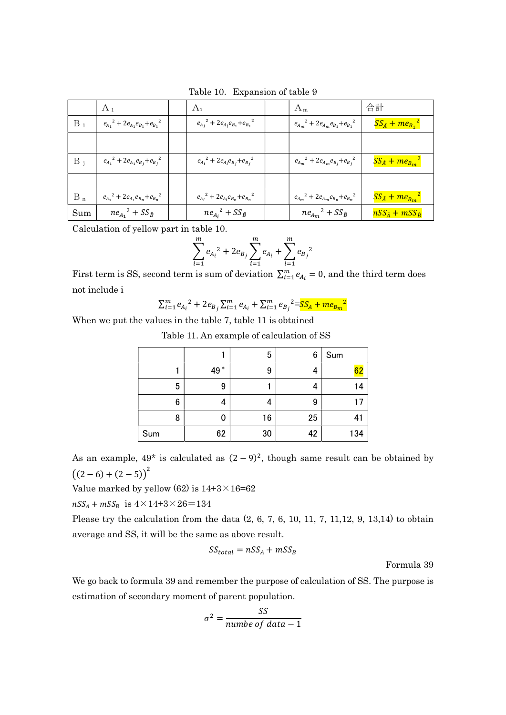|       | $A_1$                                     | $A_i$                                     | $A_m$                                       | 合計                            |
|-------|-------------------------------------------|-------------------------------------------|---------------------------------------------|-------------------------------|
| $B_1$ | $e_{A_1}^2 + 2e_{A_1}e_{B_1} + e_{B_1}^2$ | $e_{A_j}^2 + 2e_{A_j}e_{B_1} + e_{B_1}^2$ | ${e_{A_m}}^2 + 2e_{A_m}e_{B_1} + e_{B_1}^2$ | $SS_{\hat{A}} + me_{B_1}^2$   |
|       |                                           |                                           |                                             |                               |
| $B_i$ | $e_{A_1}^2 + 2e_{A_1}e_{B_j} + e_{B_j}^2$ | $e_{A_i}^2 + 2e_{A_i}e_{B_j} + e_{B_j}^2$ | $e_{A_m}^2 + 2e_{A_m}e_{B_j} + e_{B_j}^2$   | $SS_{\hat{A}} + me_{B_m}^2$   |
|       |                                           |                                           |                                             |                               |
| $B_n$ | $e_{A_1}^2 + 2e_{A_1}e_{B_n} + e_{B_n}^2$ | $e_{A_i}^2 + 2e_{A_i}e_{B_n} + e_{B_n}^2$ | $e_{A_m}^2 + 2e_{A_m}e_{B_n} + e_{B_n}^2$   | $SS_{\hat{A}} + me_{B_m}^2$   |
| Sum   | $ne_{A_1}^2 + SS_{\hat{B}}$               | $ne_{A_i}^2 + SS_{\hat{B}}$               | $ne_{A_m}^2 + SS_{\hat{B}}$                 | $nSS_{\hat{A}}+mSS_{\hat{B}}$ |

Table 10. Expansion of table 9

Calculation of yellow part in table 10.

$$
\sum_{i=1}^{m} e_{A_i}^{2} + 2e_{B_j} \sum_{i=1}^{m} e_{A_i} + \sum_{i=1}^{m} e_{B_j}^{2}
$$

First term is SS, second term is sum of deviation  $\sum_{i=1}^{m} e_{A_i} = 0$ , and the third term does not include i

$$
\sum_{i=1}^{m} e_{A_i}^{2} + 2e_{B_j} \sum_{i=1}^{m} e_{A_i} + \sum_{i=1}^{m} e_{B_j}^{2} = S_{A} + m e_{B_m}^{2}
$$

When we put the values in the table 7, table 11 is obtained

| Table 11. An example of calculation of SS |  |  |
|-------------------------------------------|--|--|
|-------------------------------------------|--|--|

|     |     | 5  | 6  | Sum |
|-----|-----|----|----|-----|
|     | 49* | 9  | 4  | 62  |
| 5   | 9   |    | 4  | 14  |
| 6   | 4   |    | 9  | 17  |
| 8   | O   | 16 | 25 | 41  |
| Sum | 62  | 30 | 42 | 134 |

As an example,  $49^*$  is calculated as  $(2-9)^2$ , though same result can be obtained by  $((2-6)+(2-5))^2$ 

Value marked by yellow  $(62)$  is  $14+3\times 16=62$ 

 $nSS_A + mSS_B$  is  $4 \times 14 + 3 \times 26 = 134$ 

Please try the calculation from the data (2, 6, 7, 6, 10, 11, 7, 11,12, 9, 13,14) to obtain average and SS, it will be the same as above result.

$$
SS_{total} = nSS_A + mSS_B
$$

Formula 39

We go back to formula 39 and remember the purpose of calculation of SS. The purpose is estimation of secondary moment of parent population.

$$
\sigma^2 = \frac{SS}{number of data - 1}
$$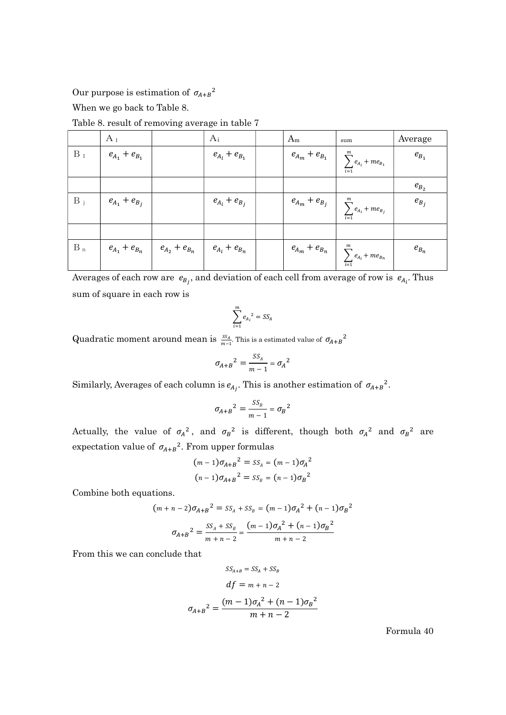Our purpose is estimation of  $\sigma_{A+B}^2$ 

When we go back to Table 8.

Table 8. result of removing average in table 7

|       | $A_1$                                                                   |                     | $A_i$               | $A_m$                                               | sum                                                                                 | Average   |
|-------|-------------------------------------------------------------------------|---------------------|---------------------|-----------------------------------------------------|-------------------------------------------------------------------------------------|-----------|
| $B_1$ | $e_{A_1} + e_{B_1}$                                                     |                     | $e_{A_i} + e_{B_1}$ | $\emph{e}_{\emph{A}_{m}} + \emph{e}_{\emph{B}_{1}}$ | $\sum_{i=1}^{m} e_{A_i} + me_{B_1}$                                                 | $e_{B_1}$ |
|       |                                                                         |                     |                     |                                                     |                                                                                     | $e_{B_2}$ |
| $B_i$ | $e_{A_1} + e_{B_j}$                                                     |                     | $e_{A_i}+e_{B_j}$   | $e_{A_m}+e_{B_j}$                                   | $\begin{array}{c}\n\overline{m} \\ \sum_{i=1}^{m} e_{A_i} + m e_{B_j}\n\end{array}$ | $e_{B_i}$ |
|       |                                                                         |                     |                     |                                                     |                                                                                     |           |
| $B_n$ | $\boldsymbol{e}_{\boldsymbol{A}_1} + \boldsymbol{e}_{\boldsymbol{B}_n}$ | $e_{A_2} + e_{B_n}$ | $e_{A_i}+e_{B_n}$   |                                                     | $e_{A_m} + e_{B_n}$ $\sum_{i=1}^{m} e_{A_i} + me_{B_n}$                             | $e_{B_n}$ |

Averages of each row are  $e_{B_j}$ , and deviation of each cell from average of row is  $e_{A_i}$ . Thus sum of square in each row is

$$
\sum_{i=1}^m e_{A_i}^2 = SS_A
$$

Quadratic moment around mean is  $\frac{SS_A}{m-1}$ . This is a estimated value of  $\sigma_{A+B}^2$ 

$$
\sigma_{A+B}^2 = \frac{SS_A}{m-1} = \sigma_A^2
$$

Similarly, Averages of each column is  $e_{A_j}$ . This is another estimation of  $\sigma_{A+B}^2$ .

$$
\sigma_{A+B}^2 = \frac{SS_B}{m-1} = \sigma_B^2
$$

Actually, the value of  $\sigma_A^2$ , and  $\sigma_B^2$  is different, though both  $\sigma_A^2$  and  $\sigma_B^2$  are expectation value of  $\sigma_{A+B}^2$ . From upper formulas

$$
(m-1)\sigma_{A+B}^{2} = SS_{A} = (m-1)\sigma_{A}^{2}
$$

$$
(n-1)\sigma_{A+B}^{2} = SS_{B} = (n-1)\sigma_{B}^{2}
$$

Combine both equations.

$$
(m+n-2)\sigma_{A+B}^{2} = SS_{A}^{2} + SS_{B}^{2} = (m-1)\sigma_{A}^{2} + (n-1)\sigma_{B}^{2}
$$

$$
\sigma_{A+B}^{2} = \frac{SS_{A}^{2} + SS_{B}^{2}}{m+n-2} = \frac{(m-1)\sigma_{A}^{2} + (n-1)\sigma_{B}^{2}}{m+n-2}
$$

From this we can conclude that

$$
SS_{A+B} = SS_A + SS_B
$$
  
\n
$$
df = m + n - 2
$$
  
\n
$$
\sigma_{A+B}^2 = \frac{(m-1)\sigma_A^2 + (n-1)\sigma_B^2}{m+n-2}
$$

Formula 40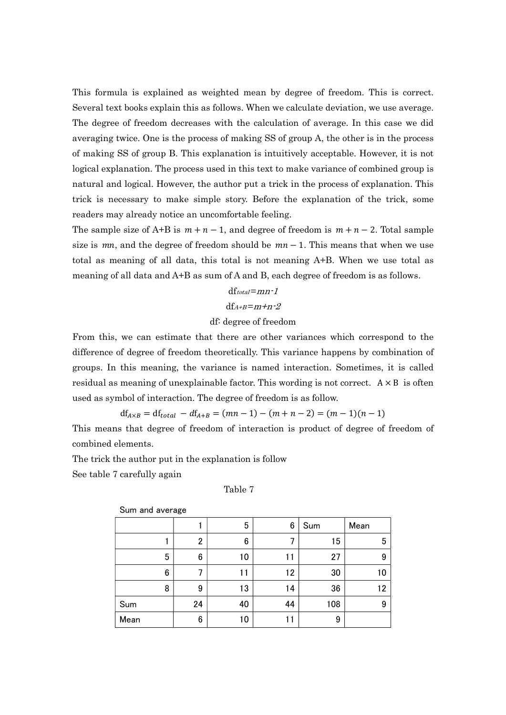This formula is explained as weighted mean by degree of freedom. This is correct. Several text books explain this as follows. When we calculate deviation, we use average. The degree of freedom decreases with the calculation of average. In this case we did averaging twice. One is the process of making SS of group A, the other is in the process of making SS of group B. This explanation is intuitively acceptable. However, it is not logical explanation. The process used in this text to make variance of combined group is natural and logical. However, the author put a trick in the process of explanation. This trick is necessary to make simple story. Before the explanation of the trick, some readers may already notice an uncomfortable feeling.

The sample size of A+B is  $m + n - 1$ , and degree of freedom is  $m + n - 2$ . Total sample size is  $mn$ , and the degree of freedom should be  $mn - 1$ . This means that when we use total as meaning of all data, this total is not meaning A+B. When we use total as meaning of all data and A+B as sum of A and B, each degree of freedom is as follows.

$$
dftotal=mn-1
$$
  

$$
dfA+B=m+n-2
$$

### df: degree of freedom

From this, we can estimate that there are other variances which correspond to the difference of degree of freedom theoretically. This variance happens by combination of groups. In this meaning, the variance is named interaction. Sometimes, it is called residual as meaning of unexplainable factor. This wording is not correct.  $A \times B$  is often used as symbol of interaction. The degree of freedom is as follow.

 $df_{A\times B} = df_{total} - df_{A+B} = (mn-1) - (m+n-2) = (m-1)(n-1)$ 

This means that degree of freedom of interaction is product of degree of freedom of combined elements.

The trick the author put in the explanation is follow

See table 7 carefully again

Table 7

| Sum and average |    |    |    |     |      |  |  |  |  |
|-----------------|----|----|----|-----|------|--|--|--|--|
|                 |    | 5  | 6  | Sum | Mean |  |  |  |  |
|                 | 2  | 6  |    | 15  | 5    |  |  |  |  |
| 5               | 6  | 10 | 11 | 27  | 9    |  |  |  |  |
| 6               | 7  |    | 12 | 30  |      |  |  |  |  |
| 8               | 9  | 13 | 14 | 36  | 12   |  |  |  |  |
| Sum             | 24 | 40 | 44 | 108 | 9    |  |  |  |  |
| Mean            | 6  | 10 | 11 | 9   |      |  |  |  |  |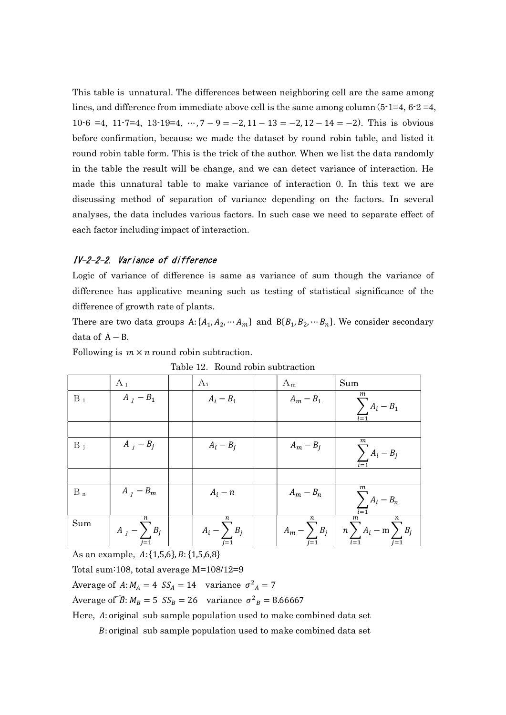This table is unnatural. The differences between neighboring cell are the same among lines, and difference from immediate above cell is the same among column  $(5\text{-}1=4, 6\text{-}2=4,$ 10-6 =4, 11-7=4, 13-19=4, …,  $7 - 9 = -2$ ,  $11 - 13 = -2$ ,  $12 - 14 = -2$ ). This is obvious before confirmation, because we made the dataset by round robin table, and listed it round robin table form. This is the trick of the author. When we list the data randomly in the table the result will be change, and we can detect variance of interaction. He made this unnatural table to make variance of interaction 0. In this text we are discussing method of separation of variance depending on the factors. In several analyses, the data includes various factors. In such case we need to separate effect of each factor including impact of interaction.

#### IV-2-2-2. Variance of difference

Logic of variance of difference is same as variance of sum though the variance of difference has applicative meaning such as testing of statistical significance of the difference of growth rate of plants.

There are two data groups  $A: \{A_1, A_2, \cdots A_m\}$  and  $B\{B_1, B_2, \cdots B_n\}$ . We consider secondary data of  $A - B$ .

|       | <b>Trouting Toplit publication</b> |  |                       |  |             |                                                                                                                     |  |  |
|-------|------------------------------------|--|-----------------------|--|-------------|---------------------------------------------------------------------------------------------------------------------|--|--|
|       | $A_1$                              |  | Ai                    |  | $A_m$       | Sum                                                                                                                 |  |  |
| $B_1$ | $A_1 - B_1$                        |  | $A_i - B_1$           |  | $A_m - B_1$ | m<br>$\sum A_i - B_1$                                                                                               |  |  |
|       |                                    |  |                       |  |             |                                                                                                                     |  |  |
| $B_i$ | $A_{I} - B_{j}$                    |  | $A_i - B_j$           |  | $A_m - B_j$ | $\,m$<br>$\sum_{i=1} A_i - B_j$                                                                                     |  |  |
|       |                                    |  |                       |  |             |                                                                                                                     |  |  |
| $B_n$ | $A_I - B_m$                        |  | $A_i - n$             |  | $A_m - B_n$ | $\sum_{i} A_i - B_n$                                                                                                |  |  |
| Sum   | n<br>$A_I - \sum B_j$              |  | n<br>$A_i - \sum B_j$ |  | n           | $\overline{m}$<br>$\boldsymbol{n}$<br>$A_m - \sum_{i=1}^m B_i$ $\left  n \sum_{i=1} A_i - m \sum_{j=1} B_j \right $ |  |  |

Following is  $m \times n$  round robin subtraction.

Table 12. Round robin subtraction

As an example,  $A: \{1,5,6\}, B: \{1,5,6,8\}$ 

Total sum:108, total average M=108/12=9

Average of  $A: M_A = 4$   $SS_A = 14$  variance  $\sigma^2{}_A = 7$ 

Average of  $\widehat{B}$ :  $M_B = 5$   $SS_B = 26$  variance  $\sigma^2{}_B = 8.66667$ 

Here, A: original sub sample population used to make combined data set

: original sub sample population used to make combined data set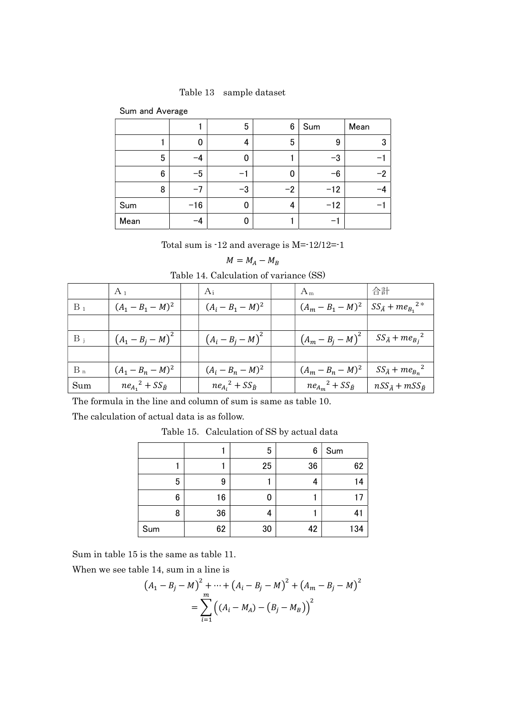Table 13 sample dataset

| Sum and Average |  |
|-----------------|--|
|-----------------|--|

|                 |       | 5  | 6    | Sum   | Mean |
|-----------------|-------|----|------|-------|------|
|                 | 0     | 4  | 5    | 9     | 3    |
| 5               | -4    |    |      | $-3$  |      |
| $6\phantom{1}6$ | $-5$  |    | 0    | $-6$  | $-2$ |
| 8               | -7    | -3 | $-2$ | $-12$ |      |
| Sum             | $-16$ |    | 4    | $-12$ |      |
| Mean            | —4    |    |      |       |      |

Total sum is -12 and average is M=-12/12=-1

$$
M=M_A-M_B
$$

Table 14. Calculation of variance (SS)

|       | $A_1$                       | Ai                          | $A_m$                                                | 合計                            |
|-------|-----------------------------|-----------------------------|------------------------------------------------------|-------------------------------|
| $B_1$ | $(A_1 - B_1 - M)^2$         | $(A_i - B_1 - M)^2$         | $(A_m - B_1 - M)^2$   $SS_{\hat{A}} + me_{B_1}^{2*}$ |                               |
|       |                             |                             |                                                      |                               |
| $B_i$ | $(A_1 - B_i - M)^2$         | $(A_i - B_j - M)^2$         | $(A_m - B_i - M)^2$                                  | $SS_{\hat{A}} + me_{B_i}^2$   |
|       |                             |                             |                                                      |                               |
| $B_n$ | $(A_1 - B_n - M)^2$         | $(A_i - B_n - M)^2$         | $(A_m - B_n - M)^2$                                  | $SS_{\hat{A}} + me_{B_n}^2$   |
| Sum   | $ne_{A_1}^2 + SS_{\hat{B}}$ | $ne_{A_i}^2 + SS_{\hat{B}}$ | $ne_{A_m}^2 + SS_{\hat{B}}$                          | $nSS_{\hat{A}}+mSS_{\hat{B}}$ |

The formula in the line and column of sum is same as table 10.

The calculation of actual data is as follow.

Table 15. Calculation of SS by actual data

|     |    | 5  | 6  | Sum |
|-----|----|----|----|-----|
|     |    | 25 | 36 | 62  |
| 5   | 9  |    | 4  | 14  |
| 6   | 16 | 0  |    |     |
| 8   | 36 | 4  |    | 4   |
| Sum | 62 | 30 | 42 | 134 |

Sum in table 15 is the same as table 11.

When we see table 14, sum in a line is

$$
(A_1 - B_j - M)^2 + \dots + (A_i - B_j - M)^2 + (A_m - B_j - M)^2
$$
  
= 
$$
\sum_{i=1}^m ((A_i - M_A) - (B_j - M_B))^2
$$